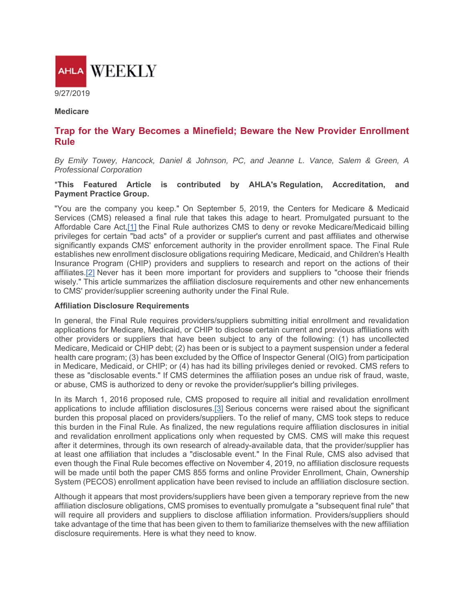

**Medicare** 

# **Trap for the Wary Becomes a Minefield; Beware the New Provider Enrollment Rule**

*By Emily Towey, Hancock, Daniel & Johnson, PC, and Jeanne L. Vance, Salem & Green, A Professional Corporation*

#### \***This Featured Article is contributed by AHLA's Regulation, Accreditation, and Payment Practice Group.**

"You are the company you keep." On September 5, 2019, the Centers for Medicare & Medicaid Services (CMS) released a final rule that takes this adage to heart. Promulgated pursuant to the Affordable Care Act,[1] the Final Rule authorizes CMS to deny or revoke Medicare/Medicaid billing privileges for certain "bad acts" of a provider or supplier's current and past affiliates and otherwise significantly expands CMS' enforcement authority in the provider enrollment space. The Final Rule establishes new enrollment disclosure obligations requiring Medicare, Medicaid, and Children's Health Insurance Program (CHIP) providers and suppliers to research and report on the actions of their affiliates.[2] Never has it been more important for providers and suppliers to "choose their friends wisely." This article summarizes the affiliation disclosure requirements and other new enhancements to CMS' provider/supplier screening authority under the Final Rule.

#### **Affiliation Disclosure Requirements**

In general, the Final Rule requires providers/suppliers submitting initial enrollment and revalidation applications for Medicare, Medicaid, or CHIP to disclose certain current and previous affiliations with other providers or suppliers that have been subject to any of the following: (1) has uncollected Medicare, Medicaid or CHIP debt; (2) has been or is subject to a payment suspension under a federal health care program; (3) has been excluded by the Office of Inspector General (OIG) from participation in Medicare, Medicaid, or CHIP; or (4) has had its billing privileges denied or revoked. CMS refers to these as "disclosable events." If CMS determines the affiliation poses an undue risk of fraud, waste, or abuse, CMS is authorized to deny or revoke the provider/supplier's billing privileges.

In its March 1, 2016 proposed rule, CMS proposed to require all initial and revalidation enrollment applications to include affiliation disclosures.<sup>[3]</sup> Serious concerns were raised about the significant burden this proposal placed on providers/suppliers. To the relief of many, CMS took steps to reduce this burden in the Final Rule. As finalized, the new regulations require affiliation disclosures in initial and revalidation enrollment applications only when requested by CMS. CMS will make this request after it determines, through its own research of already-available data, that the provider/supplier has at least one affiliation that includes a "disclosable event." In the Final Rule, CMS also advised that even though the Final Rule becomes effective on November 4, 2019, no affiliation disclosure requests will be made until both the paper CMS 855 forms and online Provider Enrollment, Chain, Ownership System (PECOS) enrollment application have been revised to include an affiliation disclosure section.

Although it appears that most providers/suppliers have been given a temporary reprieve from the new affiliation disclosure obligations, CMS promises to eventually promulgate a "subsequent final rule" that will require all providers and suppliers to disclose affiliation information. Providers/suppliers should take advantage of the time that has been given to them to familiarize themselves with the new affiliation disclosure requirements. Here is what they need to know.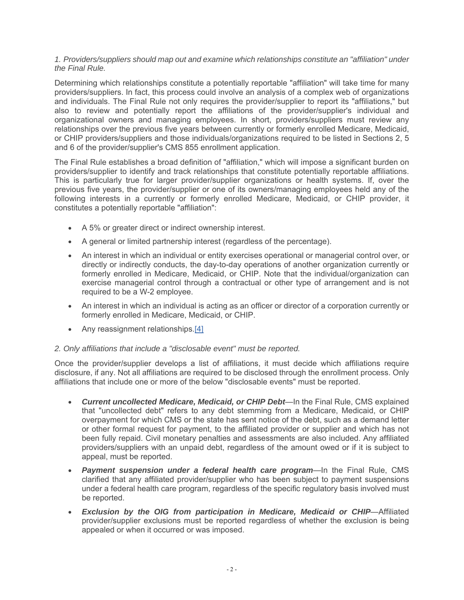### *1. Providers/suppliers should map out and examine which relationships constitute an "affiliation" under the Final Rule.*

Determining which relationships constitute a potentially reportable "affiliation" will take time for many providers/suppliers. In fact, this process could involve an analysis of a complex web of organizations and individuals. The Final Rule not only requires the provider/supplier to report its "affiliations," but also to review and potentially report the affiliations of the provider/supplier's individual and organizational owners and managing employees. In short, providers/suppliers must review any relationships over the previous five years between currently or formerly enrolled Medicare, Medicaid, or CHIP providers/suppliers and those individuals/organizations required to be listed in Sections 2, 5 and 6 of the provider/supplier's CMS 855 enrollment application.

The Final Rule establishes a broad definition of "affiliation," which will impose a significant burden on providers/supplier to identify and track relationships that constitute potentially reportable affiliations. This is particularly true for larger provider/supplier organizations or health systems. If, over the previous five years, the provider/supplier or one of its owners/managing employees held any of the following interests in a currently or formerly enrolled Medicare, Medicaid, or CHIP provider, it constitutes a potentially reportable "affiliation":

- A 5% or greater direct or indirect ownership interest.
- A general or limited partnership interest (regardless of the percentage).
- An interest in which an individual or entity exercises operational or managerial control over, or directly or indirectly conducts, the day-to-day operations of another organization currently or formerly enrolled in Medicare, Medicaid, or CHIP. Note that the individual/organization can exercise managerial control through a contractual or other type of arrangement and is not required to be a W-2 employee.
- An interest in which an individual is acting as an officer or director of a corporation currently or formerly enrolled in Medicare, Medicaid, or CHIP.
- Any reassignment relationships.[4]

## *2. Only affiliations that include a "disclosable event" must be reported.*

Once the provider/supplier develops a list of affiliations, it must decide which affiliations require disclosure, if any. Not all affiliations are required to be disclosed through the enrollment process. Only affiliations that include one or more of the below "disclosable events" must be reported.

- *Current uncollected Medicare, Medicaid, or CHIP Debt*—In the Final Rule, CMS explained that "uncollected debt" refers to any debt stemming from a Medicare, Medicaid, or CHIP overpayment for which CMS or the state has sent notice of the debt, such as a demand letter or other formal request for payment, to the affiliated provider or supplier and which has not been fully repaid. Civil monetary penalties and assessments are also included. Any affiliated providers/suppliers with an unpaid debt, regardless of the amount owed or if it is subject to appeal, must be reported.
- *Payment suspension under a federal health care program*—In the Final Rule, CMS clarified that any affiliated provider/supplier who has been subject to payment suspensions under a federal health care program, regardless of the specific regulatory basis involved must be reported.
- *Exclusion by the OIG from participation in Medicare, Medicaid or CHIP*—Affiliated provider/supplier exclusions must be reported regardless of whether the exclusion is being appealed or when it occurred or was imposed.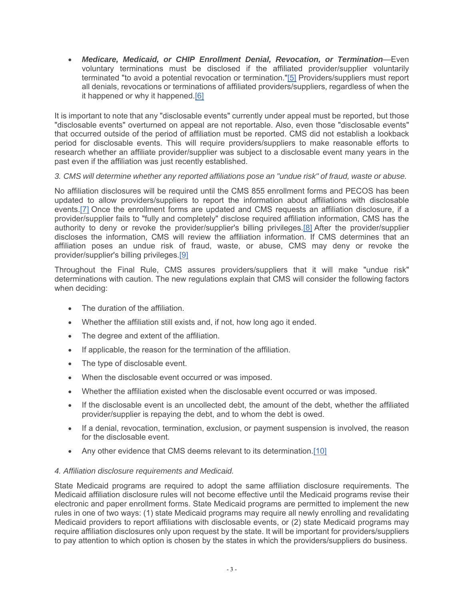*Medicare, Medicaid, or CHIP Enrollment Denial, Revocation, or Termination*—Even voluntary terminations must be disclosed if the affiliated provider/supplier voluntarily terminated "to avoid a potential revocation or termination."[5] Providers/suppliers must report all denials, revocations or terminations of affiliated providers/suppliers, regardless of when the it happened or why it happened.[6]

It is important to note that any "disclosable events" currently under appeal must be reported, but those "disclosable events" overturned on appeal are not reportable. Also, even those "disclosable events" that occurred outside of the period of affiliation must be reported. CMS did not establish a lookback period for disclosable events. This will require providers/suppliers to make reasonable efforts to research whether an affiliate provider/supplier was subject to a disclosable event many years in the past even if the affiliation was just recently established.

## *3. CMS will determine whether any reported affiliations pose an "undue risk" of fraud, waste or abuse.*

No affiliation disclosures will be required until the CMS 855 enrollment forms and PECOS has been updated to allow providers/suppliers to report the information about affiliations with disclosable events.[7] Once the enrollment forms are updated and CMS requests an affiliation disclosure, if a provider/supplier fails to "fully and completely" disclose required affiliation information, CMS has the authority to deny or revoke the provider/supplier's billing privileges.[8] After the provider/supplier discloses the information, CMS will review the affiliation information. If CMS determines that an affiliation poses an undue risk of fraud, waste, or abuse, CMS may deny or revoke the provider/supplier's billing privileges.[9]

Throughout the Final Rule, CMS assures providers/suppliers that it will make "undue risk" determinations with caution. The new regulations explain that CMS will consider the following factors when deciding:

- The duration of the affiliation.
- Whether the affiliation still exists and, if not, how long ago it ended.
- The degree and extent of the affiliation.
- If applicable, the reason for the termination of the affiliation.
- The type of disclosable event.
- When the disclosable event occurred or was imposed.
- Whether the affiliation existed when the disclosable event occurred or was imposed.
- If the disclosable event is an uncollected debt, the amount of the debt, whether the affiliated provider/supplier is repaying the debt, and to whom the debt is owed.
- If a denial, revocation, termination, exclusion, or payment suspension is involved, the reason for the disclosable event.
- Any other evidence that CMS deems relevant to its determination.[10]

## *4. Affiliation disclosure requirements and Medicaid.*

State Medicaid programs are required to adopt the same affiliation disclosure requirements. The Medicaid affiliation disclosure rules will not become effective until the Medicaid programs revise their electronic and paper enrollment forms. State Medicaid programs are permitted to implement the new rules in one of two ways: (1) state Medicaid programs may require all newly enrolling and revalidating Medicaid providers to report affiliations with disclosable events, or (2) state Medicaid programs may require affiliation disclosures only upon request by the state. It will be important for providers/suppliers to pay attention to which option is chosen by the states in which the providers/suppliers do business.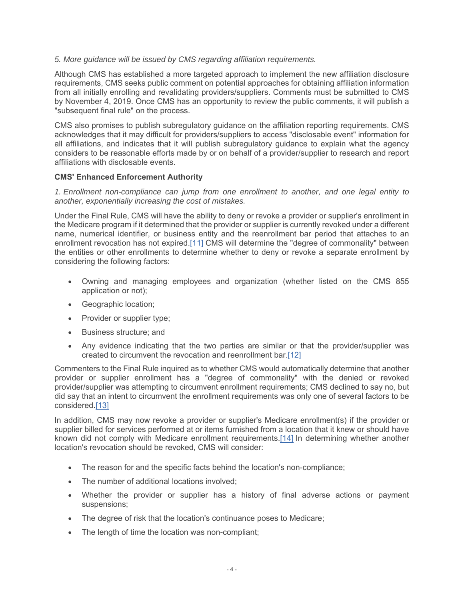### *5. More guidance will be issued by CMS regarding affiliation requirements.*

Although CMS has established a more targeted approach to implement the new affiliation disclosure requirements, CMS seeks public comment on potential approaches for obtaining affiliation information from all initially enrolling and revalidating providers/suppliers. Comments must be submitted to CMS by November 4, 2019. Once CMS has an opportunity to review the public comments, it will publish a "subsequent final rule" on the process.

CMS also promises to publish subregulatory guidance on the affiliation reporting requirements. CMS acknowledges that it may difficult for providers/suppliers to access "disclosable event" information for all affiliations, and indicates that it will publish subregulatory guidance to explain what the agency considers to be reasonable efforts made by or on behalf of a provider/supplier to research and report affiliations with disclosable events.

### **CMS' Enhanced Enforcement Authority**

*1. Enrollment non-compliance can jump from one enrollment to another, and one legal entity to another, exponentially increasing the cost of mistakes.*

Under the Final Rule, CMS will have the ability to deny or revoke a provider or supplier's enrollment in the Medicare program if it determined that the provider or supplier is currently revoked under a different name, numerical identifier, or business entity and the reenrollment bar period that attaches to an enrollment revocation has not expired.[11] CMS will determine the "degree of commonality" between the entities or other enrollments to determine whether to deny or revoke a separate enrollment by considering the following factors:

- Owning and managing employees and organization (whether listed on the CMS 855 application or not);
- Geographic location;
- Provider or supplier type;
- Business structure: and
- Any evidence indicating that the two parties are similar or that the provider/supplier was created to circumvent the revocation and reenrollment bar.[12]

Commenters to the Final Rule inquired as to whether CMS would automatically determine that another provider or supplier enrollment has a "degree of commonality" with the denied or revoked provider/supplier was attempting to circumvent enrollment requirements; CMS declined to say no, but did say that an intent to circumvent the enrollment requirements was only one of several factors to be considered.[13]

In addition, CMS may now revoke a provider or supplier's Medicare enrollment(s) if the provider or supplier billed for services performed at or items furnished from a location that it knew or should have known did not comply with Medicare enrollment requirements.[14] In determining whether another location's revocation should be revoked, CMS will consider:

- The reason for and the specific facts behind the location's non-compliance;
- The number of additional locations involved;
- Whether the provider or supplier has a history of final adverse actions or payment suspensions;
- The degree of risk that the location's continuance poses to Medicare;
- The length of time the location was non-compliant;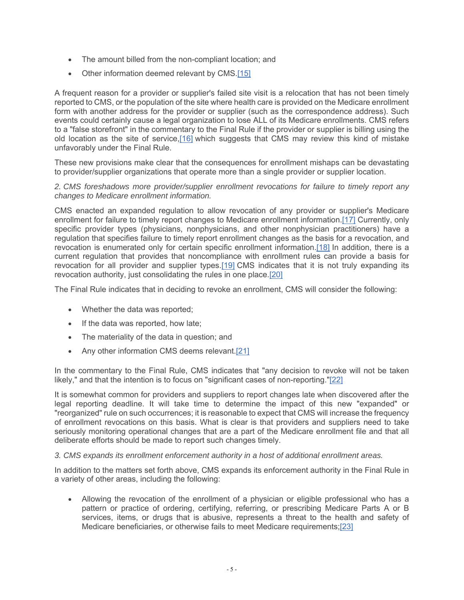- The amount billed from the non-compliant location; and
- Other information deemed relevant by CMS.[15]

A frequent reason for a provider or supplier's failed site visit is a relocation that has not been timely reported to CMS, or the population of the site where health care is provided on the Medicare enrollment form with another address for the provider or supplier (such as the correspondence address). Such events could certainly cause a legal organization to lose ALL of its Medicare enrollments. CMS refers to a "false storefront" in the commentary to the Final Rule if the provider or supplier is billing using the old location as the site of service,[16] which suggests that CMS may review this kind of mistake unfavorably under the Final Rule.

These new provisions make clear that the consequences for enrollment mishaps can be devastating to provider/supplier organizations that operate more than a single provider or supplier location.

### *2. CMS foreshadows more provider/supplier enrollment revocations for failure to timely report any changes to Medicare enrollment information.*

CMS enacted an expanded regulation to allow revocation of any provider or supplier's Medicare enrollment for failure to timely report changes to Medicare enrollment information.[17] Currently, only specific provider types (physicians, nonphysicians, and other nonphysician practitioners) have a regulation that specifies failure to timely report enrollment changes as the basis for a revocation, and revocation is enumerated only for certain specific enrollment information.[18] In addition, there is a current regulation that provides that noncompliance with enrollment rules can provide a basis for revocation for all provider and supplier types.[19] CMS indicates that it is not truly expanding its revocation authority, just consolidating the rules in one place.[20]

The Final Rule indicates that in deciding to revoke an enrollment, CMS will consider the following:

- Whether the data was reported;
- If the data was reported, how late;
- The materiality of the data in question; and
- Any other information CMS deems relevant.[21]

In the commentary to the Final Rule, CMS indicates that "any decision to revoke will not be taken likely," and that the intention is to focus on "significant cases of non-reporting."[22]

It is somewhat common for providers and suppliers to report changes late when discovered after the legal reporting deadline. It will take time to determine the impact of this new "expanded" or "reorganized" rule on such occurrences; it is reasonable to expect that CMS will increase the frequency of enrollment revocations on this basis. What is clear is that providers and suppliers need to take seriously monitoring operational changes that are a part of the Medicare enrollment file and that all deliberate efforts should be made to report such changes timely.

#### *3. CMS expands its enrollment enforcement authority in a host of additional enrollment areas.*

In addition to the matters set forth above, CMS expands its enforcement authority in the Final Rule in a variety of other areas, including the following:

 Allowing the revocation of the enrollment of a physician or eligible professional who has a pattern or practice of ordering, certifying, referring, or prescribing Medicare Parts A or B services, items, or drugs that is abusive, represents a threat to the health and safety of Medicare beneficiaries, or otherwise fails to meet Medicare requirements;[23]